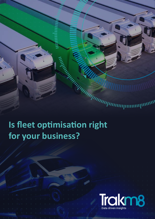

# **for your business?**

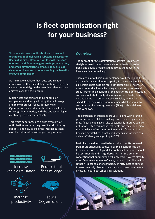# **Is fleet optimisation right for your business?**

**Telematics is now a well-established transport technology tool, delivering substantial savings for fleets of all sizes. However, while most transport operators and fleet managers are improving safety and efficiency through telematics, they are less clear when it comes to understanding the benefits of route optimisation.**

At Trakm8, we believe that route optimisation – also known as fleet scheduling - will experience the same exponential growth curve that telematics has enjoyed over the past decade.

Major fleets and forward-thinking smaller companies are already adopting the technology; and many more will follow in their wake. Optimisation can work as a stand-alone solution or alongside telematics, with the two technologies combining extremely effectively.

This white paper provides a brief overview of optimisation, summarising how it works; the key benefits; and how to build the internal business



#### **Overview**

The concept of route optimisation software is relatively straightforward: Import tasks such as deliveries or collections, and devise a manifest that carries them out in the lowest cumulative mileage.

There are a lot of basic journey planners out there, and the can be effective in a limited capacity. Planning each individual vehicle's best possible route can cut fuel bills - however a comprehensive fleet scheduling application goes several steps further. The algorithm at the heart of true optimisation software looks holistically at your resources – fleets, drivers and depots - in order to assign vehicles, timetables and schedules in the most efficient manner, whilst adhering to customer service level agreements (SLAs) such as delivery time windows.

The differences in outcomes are vast – along with a far bigger reduction in total fleet mileage and transport planning time, fleet scheduling can also substantially improve vehicle utilisation. Often this means that fleets find they can achieve the same level of customer fulfilment with fewer vehicles, boosting profitability. In fact, good scheduling software can deliver efficiency savings of up to 20%.

Best of all, you don't need to be a rocket scientist to benefit from route scheduling software, as the algorithms do the heavy lifting for you. A good fleet optimisation system should be user-friendly and straightforward. There's a common misconception that optimisation will only work if you're already using fleet management software, or telematics. The reality is that it is a standalone technology. In fact, most of our customers manually planned their transport operations before investing in our fleet scheduling solutions.

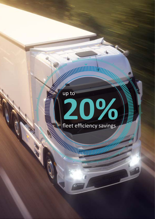

<u>andmumlun</u>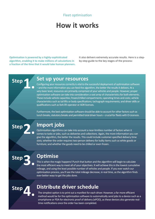#### Fleet optimisation

# **How it works**

**Optimisation is powered by a highly-sophisticated algorithm, enabling it to make millions of calculations in a fraction of the time that it would take human planners.**  It also delivers extremely accurate results. Here is a stepby-step guide to the key stages of the process:

**1. Step**

**Step**

**Step**

#### **Set up your resources**

Configuring your resources correctly is vital to the successful deployment of optimisation software – and the more information you can feed the algorithm, the better the results it delivers. At a very basic level, resources are primarily comprised of your vehicles and people. However, proper optimisation software can take into consideration a vast array of characteristics for both elements. These include vehicle capacities; frozen/chilled compartments; operating times and costs; vehicle characteristics such as tail lifts or body specifications; tachograph requirements; and driver skills or qualifications such as fork lift operator or ADR licences.

Furthermore, the best optimisation software should be able to account for other factors such as lunch breaks, statutory breaks and permitted total driver hours – crucial for fleets with O-Licences.

# **2.**

**Import jobs**

Optimisation algorithms can take into account a near-limitless number of factors when it comes to tasks or jobs, such as deliveries and collections. Again, the more information you can give the algorithm, the better the results. This could include customer-specified delivery time slots; whether the order requires two-person delivery for bulky items such as white goods or furniture; and whether the goods need to be chilled or even frozen.

## **Optimise**

This is when the magic happens! Punch that button and the algorithm will begin to calculate the most efficient way to meet all of your objectives. It will achieve this in the lowest cumulative mileage, and using the least possible number of vehicles and people. If you ever watch our optimisation process, you'll see the total mileage decrease, in real time, as the algorithm finds ever-better ways to get the jobs done.

**4. Step**

**3.**

### **Distribute driver schedule**

The simplest option is to print out a manifest for each driver. However, a far more efficient method would be for the optimisation software to automatically send jobs to a device such as a smartphone or PDA for electronic proof of delivery (ePOD), as these devices also generate realtime notifications once the order has been completed.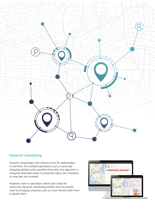

#### **Dynamic scheduling**

Dynamic scheduling is the industry term for optimisation in real time. For complex operations such as same-day shopping delivery with specified time slots, the algorithm is using live telematics data to constantly adjust the schedules as new jobs are received.

However, even in operations which plan today for tomorrow, dynamic scheduling enables them to quickly react to changing scenarios such as a last-minute order from a valued client.

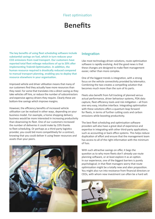#### Fleet optimisation

# **Benefits**

**The key benefits of using fleet scheduling software include substantial savings on fuel, which in turn reduces your CO2 emissions from road transport. Our customers have reported total fleet mileage reductions of up to 20% after implementing Trakm8 Optimisation. In addition, the human resource required is drastically reduced compared to manual transport planning, enabling you to deploy that resource elsewhere in your organisation.**

Improved vehicle and driver utilisation means that many of our customers find they actually have more resources than they need. For some that translates into a direct saving as they take vehicles off hire, or reduce the number of subcontractors and expensive agency drivers they require. Clearly these are bottom-line savings which improve margins.

However, the efficiency benefits of increased vehicle utilisation can be realised in other ways, depending on your business model. For example, a home shopping delivery business would be more interested in increasing productivity than downsizing its fleet. One of our customers increased the number of deliveries it could make by 33% thanks to fleet scheduling. Or perhaps as a third-party logistics provider, you could bid more competitively for a contract, knowing that you could deliver it using fewer resources and assets than your peers.



#### **Integration**

Like most technology-driven solutions, route optimisation software is rapidly evolving. And the good news is that these changes are designed to make fleet management easier, rather than more complex.

One of the biggest trends is integration, with a strong focus on the vehicle connectivity provided by telematics. Combining the two creates a compelling solution that becomes much more than the sum of its parts.

Fleets also benefit from full tracking of planned versus actual performance, driver behaviour systems, PDA data capture, fleet efficiency tools and risk mitigation – all from one very easy, intuitive interface. Integrating optimisation with these solutions offers a quantum leap forward for fleets, in terms of further cutting costs and carbon emissions while boosting productivity.

The best fleet scheduling and optimisation software providers will also have a great deal of experience and expertise in integrating with other third-party applications, such as accounting or back office systems. This helps reduce duplication of effort and ensure that the management team has access to all of the right information with the minimum of fuss.

With such attractive savings on offer, it begs the question as to why more fleets don't already use route planning software, or at least explore it as an option. In our experience, one of the biggest barriers is purely psychological; in that fleet managers worry that route optimisation might be a totally new and alien proposition. You might also run into resistance from financial directors or CEOs, with whom new investment can often be a hard sell.

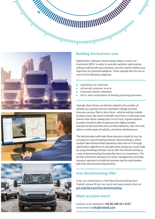# *Building the business case*







Optimisation software should always deliver a return on investment (ROI). In order to ascertain whether optimisation software will benefit your business, you first need to define your objectives for potential adoption. These typically fall into one or more of the following categories:

---------------------

**ITALIAN** 

- -----------------operating cost reduction r.
- enhanced customer service
- Improved vehicle utilisation П
- full or semi-automation of existing planning processes

Typically, these factors are directly related to the number of vehicles you operate and your total fleet mileage incurred. How you use your fleet is also critical - vehicles visiting multiple locations every day stand to benefit more from a multi-stop route planner than those making basic 'A to B' trips. A good solutions provider should be able to optimise even highly complex operational demands like time-sensitive deliveries, sites that only allow in certain types of vehicles, and driver working hours.

The best providers will make these decisions simple for you, by carrying out a benchmarking exercise. Benchmarking is where analysts take historical fleet operations data and run it through optimisation algorithms to calculate what savings you could make by using scheduling software. Some offer free benchmarking as a way of demonstrating the potential return on investment. This de-risks investment decisions for senior management; and helps transport operators to build the business case for optimisation with their procurement departments.

## **Free Benchmarking Offer**

If you are interested in a free fleet benchmarking from Trakm8, please fill out our quick and easy enquiry form at **[get.trakm8.com/free-benchmarking](https://get.trakm8.com/free-benchmarking)**

#### **Want to know more?**

Contact us by telephone **+44 (0) 330 311 5157**  or by email at **[info@trakm8.com](mailto:info%40trakm8.com?subject=Trakm8%20Optimisation%20Enquiry)**